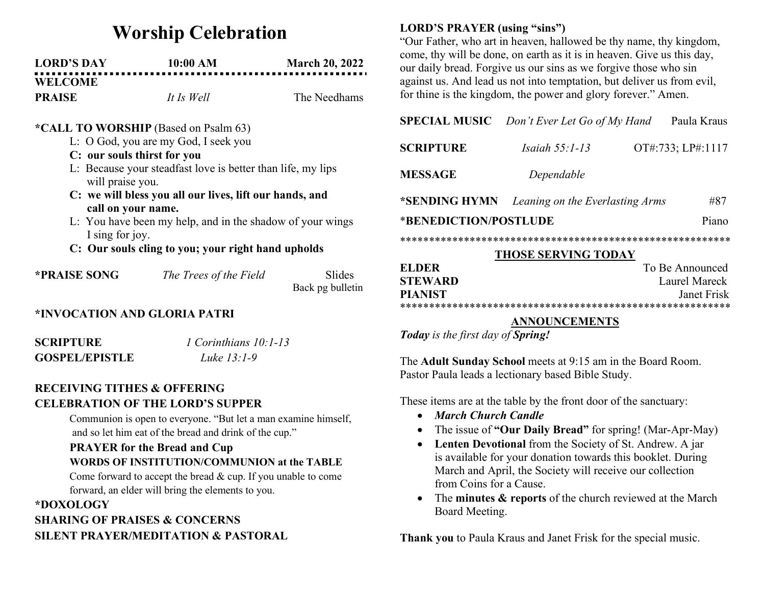# Worship Celebration

| <b>LORD'S DAY</b> | 10:00 AM   | <b>March 20, 2022</b> |
|-------------------|------------|-----------------------|
| <b>WELCOME</b>    |            |                       |
| <b>PRAISE</b>     | It Is Well | The Needhams          |

### \*CALL TO WORSHIP (Based on Psalm 63)

- L: O God, you are my God, I seek you
- C: our souls thirst for you
- L: Because your steadfast love is better than life, my lips will praise you.
- C: we will bless you all our lives, lift our hands, and call on your name.
- L: You have been my help, and in the shadow of your wings I sing for joy.
- C: Our souls cling to you; your right hand upholds

| *PRAISE SONG | The Trees of the Field | Slides           |
|--------------|------------------------|------------------|
|              |                        | Back pg bulletin |

## \*INVOCATION AND GLORIA PATRI

SCRIPTURE 1 Corinthians 10:1-13 GOSPEL/EPISTLE Luke 13:1-9

## RECEIVING TITHES & OFFERING CELEBRATION OF THE LORD'S SUPPER

Communion is open to everyone. "But let a man examine himself, and so let him eat of the bread and drink of the cup."

## PRAYER for the Bread and Cup WORDS OF INSTITUTION/COMMUNION at the TABLE

Come forward to accept the bread & cup. If you unable to come forward, an elder will bring the elements to you.

# \*DOXOLOGY SHARING OF PRAISES & CONCERNS SILENT PRAYER/MEDITATION & PASTORAL

# LORD'S PRAYER (using "sins")

"Our Father, who art in heaven, hallowed be thy name, thy kingdom, come, thy will be done, on earth as it is in heaven. Give us this day, our daily bread. Forgive us our sins as we forgive those who sin against us. And lead us not into temptation, but deliver us from evil, for thine is the kingdom, the power and glory forever." Amen.

## SPECIAL MUSIC Don't Ever Let Go of My Hand Paula Kraus

| <b>SCRIPTURE</b>                              | Isaiah $55$ : 1-13 | OT#:733; LP#:1117 |
|-----------------------------------------------|--------------------|-------------------|
| <b>MESSAGE</b>                                | Dependable         |                   |
| *SENDING HYMN Leaning on the Everlasting Arms |                    | #87               |
| *BENEDICTION/POSTLUDE                         |                    |                   |

\*\*\*\*\*\*\*\*\*\*\*\*\*\*\*\*\*\*\*\*\*\*\*\*\*\*\*\*\*\*\*\*\*\*\*\*\*\*\*\*\*\*\*\*\*\*\*\*\*\*\*\*\*\*\*\*\*

#### THOSE SERVING TODAY

| EL DER         | To Be Announced |
|----------------|-----------------|
| <b>STEWARD</b> | Laurel Mareck   |
| <b>PIANIST</b> | Janet Frisk     |
|                |                 |

#### ANNOUNCEMENTS

Today is the first day of Spring!

The Adult Sunday School meets at 9:15 am in the Board Room. Pastor Paula leads a lectionary based Bible Study.

These items are at the table by the front door of the sanctuary:

- March Church Candle
- The issue of "Our Daily Bread" for spring! (Mar-Apr-May)
- Lenten Devotional from the Society of St. Andrew. A jar is available for your donation towards this booklet. During March and April, the Society will receive our collection from Coins for a Cause.
- The minutes & reports of the church reviewed at the March Board Meeting.

Thank you to Paula Kraus and Janet Frisk for the special music.